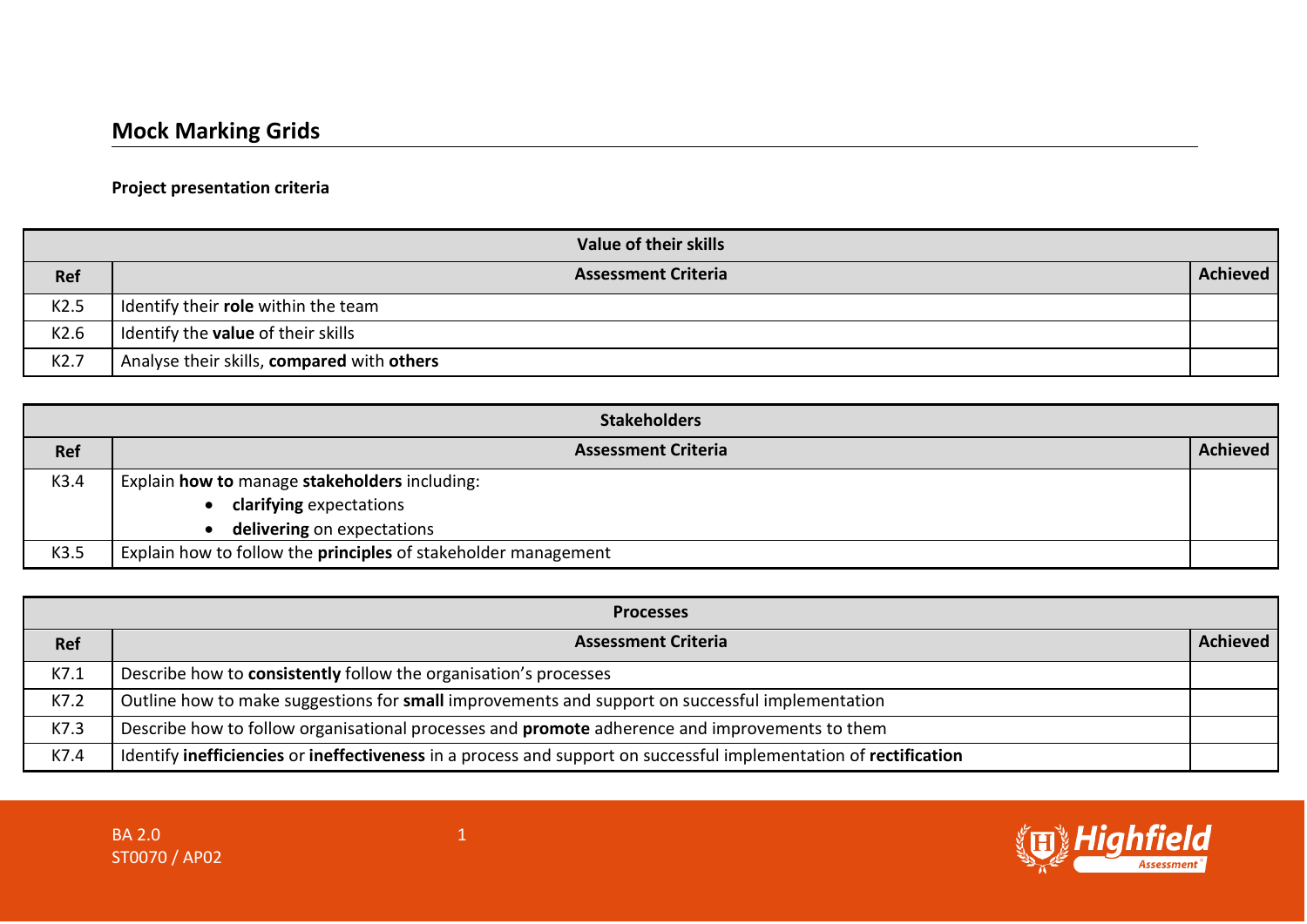## **Project presentation criteria**

| Value of their skills |                                            |                 |
|-----------------------|--------------------------------------------|-----------------|
| <b>Ref</b>            | <b>Assessment Criteria</b>                 | <b>Achieved</b> |
| K2.5                  | Identify their role within the team        |                 |
| K2.6                  | Identify the <b>value</b> of their skills  |                 |
| K2.7                  | Analyse their skills, compared with others |                 |

| <b>Stakeholders</b> |                                                                |                 |
|---------------------|----------------------------------------------------------------|-----------------|
| Ref                 | <b>Assessment Criteria</b>                                     | <b>Achieved</b> |
| K3.4                | Explain how to manage stakeholders including:                  |                 |
|                     | clarifying expectations                                        |                 |
|                     | delivering on expectations                                     |                 |
| K3.5                | Explain how to follow the principles of stakeholder management |                 |

| <b>Processes</b> |                                                                                                                   |          |
|------------------|-------------------------------------------------------------------------------------------------------------------|----------|
| <b>Ref</b>       | <b>Assessment Criteria</b>                                                                                        | Achieved |
| K7.1             | Describe how to consistently follow the organisation's processes                                                  |          |
| K7.2             | Outline how to make suggestions for small improvements and support on successful implementation                   |          |
| K7.3             | Describe how to follow organisational processes and <b>promote</b> adherence and improvements to them             |          |
| K7.4             | Identify inefficiencies or ineffectiveness in a process and support on successful implementation of rectification |          |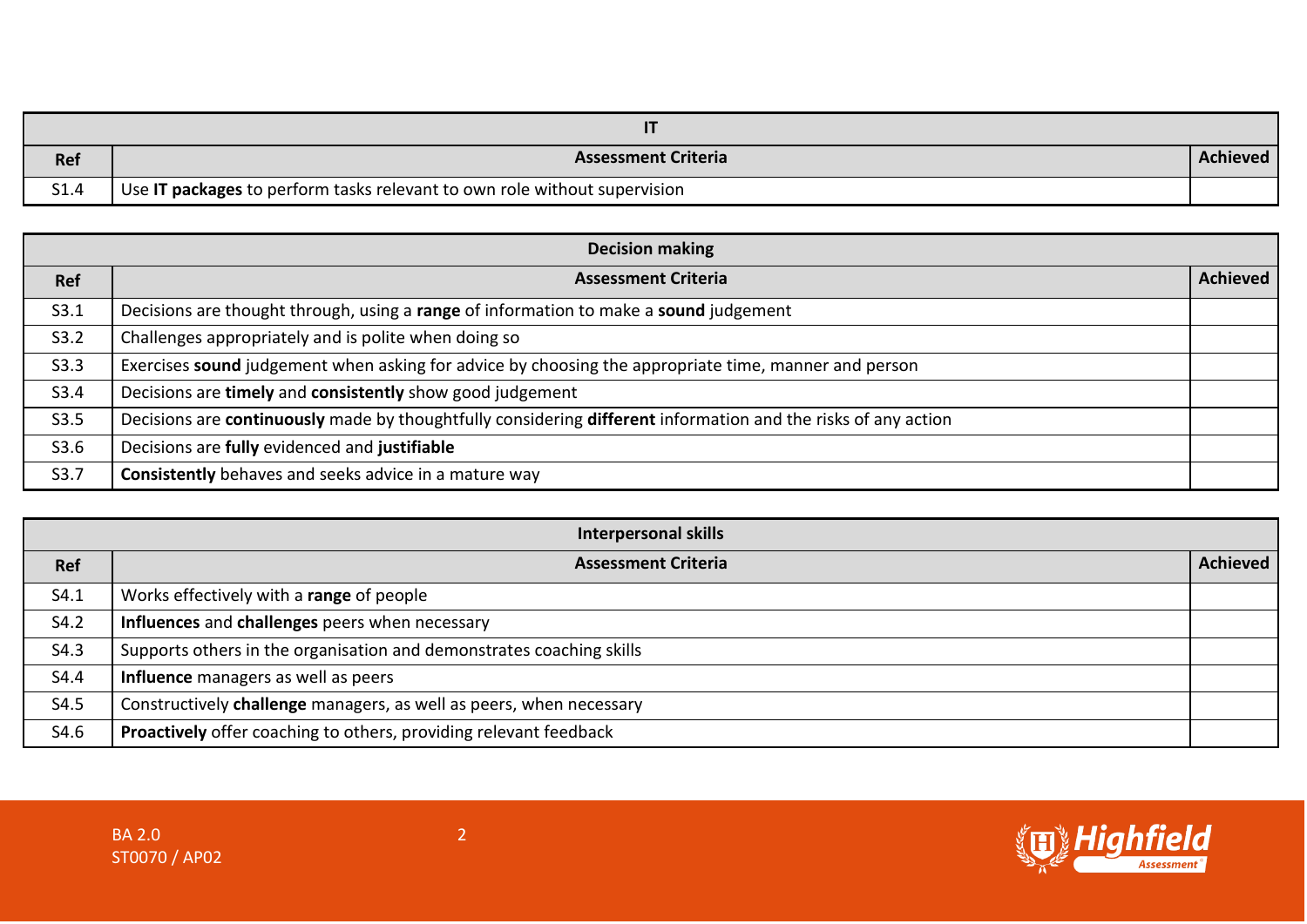| Ref  | <b>Assessment Criteria</b>                                                | Achieved |
|------|---------------------------------------------------------------------------|----------|
| S1.4 | Use IT packages to perform tasks relevant to own role without supervision |          |

| <b>Decision making</b> |                                                                                                               |                 |
|------------------------|---------------------------------------------------------------------------------------------------------------|-----------------|
| <b>Ref</b>             | <b>Assessment Criteria</b>                                                                                    | <b>Achieved</b> |
| S3.1                   | Decisions are thought through, using a range of information to make a sound judgement                         |                 |
| S3.2                   | Challenges appropriately and is polite when doing so                                                          |                 |
| S3.3                   | Exercises sound judgement when asking for advice by choosing the appropriate time, manner and person          |                 |
| S3.4                   | Decisions are timely and consistently show good judgement                                                     |                 |
| S3.5                   | Decisions are continuously made by thoughtfully considering different information and the risks of any action |                 |
| S3.6                   | Decisions are fully evidenced and justifiable                                                                 |                 |
| S3.7                   | Consistently behaves and seeks advice in a mature way                                                         |                 |

|      | <b>Interpersonal skills</b>                                          |                 |
|------|----------------------------------------------------------------------|-----------------|
| Ref  | <b>Assessment Criteria</b>                                           | <b>Achieved</b> |
| S4.1 | Works effectively with a range of people                             |                 |
| S4.2 | Influences and challenges peers when necessary                       |                 |
| S4.3 | Supports others in the organisation and demonstrates coaching skills |                 |
| S4.4 | Influence managers as well as peers                                  |                 |
| S4.5 | Constructively challenge managers, as well as peers, when necessary  |                 |
| S4.6 | Proactively offer coaching to others, providing relevant feedback    |                 |